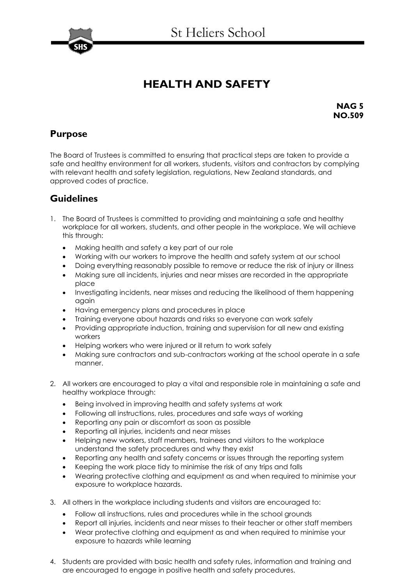

## **HEALTH AND SAFETY**

**NAG 5 NO.509**

## **Purpose**

The Board of Trustees is committed to ensuring that practical steps are taken to provide a safe and healthy environment for all workers, students, visitors and contractors by complying with relevant health and safety legislation, regulations, New Zealand standards, and approved codes of practice.

## **Guidelines**

- 1. The Board of Trustees is committed to providing and maintaining a safe and healthy workplace for all workers, students, and other people in the workplace. We will achieve this through:
	- Making health and safety a key part of our role
	- Working with our workers to improve the health and safety system at our school
	- Doing everything reasonably possible to remove or reduce the risk of injury or illness
	- Making sure all incidents, injuries and near misses are recorded in the appropriate place
	- Investigating incidents, near misses and reducing the likelihood of them happening again
	- Having emergency plans and procedures in place
	- Training everyone about hazards and risks so everyone can work safely
	- Providing appropriate induction, training and supervision for all new and existing workers
	- Helping workers who were injured or ill return to work safely
	- Making sure contractors and sub-contractors working at the school operate in a safe manner.
- 2. All workers are encouraged to play a vital and responsible role in maintaining a safe and healthy workplace through:
	- Being involved in improving health and safety systems at work
	- Following all instructions, rules, procedures and safe ways of working
	- Reporting any pain or discomfort as soon as possible
	- Reporting all injuries, incidents and near misses
	- Helping new workers, staff members, trainees and visitors to the workplace understand the safety procedures and why they exist
	- Reporting any health and safety concerns or issues through the reporting system
	- Keeping the work place tidy to minimise the risk of any trips and falls
	- Wearing protective clothing and equipment as and when required to minimise your exposure to workplace hazards.
- 3. All others in the workplace including students and visitors are encouraged to:
	- Follow all instructions, rules and procedures while in the school grounds
	- Report all injuries, incidents and near misses to their teacher or other staff members
	- Wear protective clothing and equipment as and when required to minimise your exposure to hazards while learning
- 4. Students are provided with basic health and safety rules, information and training and are encouraged to engage in positive health and safety procedures.